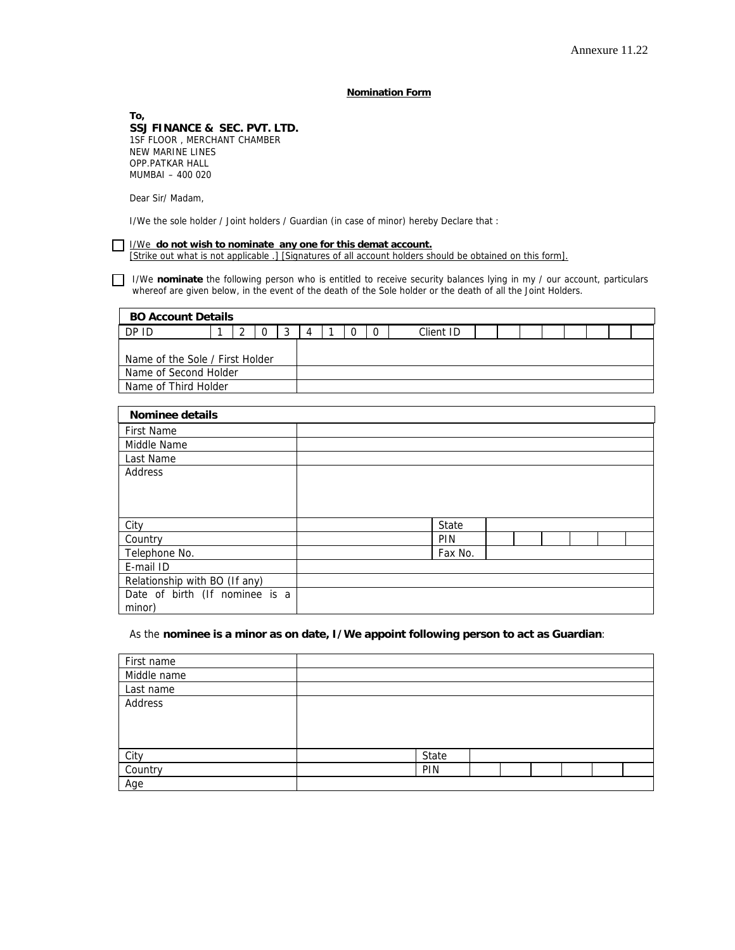## **Nomination Form**

**To, SSJ FINANCE & SEC. PVT. LTD.**  1SF FLOOR , MERCHANT CHAMBER NEW MARINE LINES OPP.PATKAR HALL MUMBAI – 400 020

Dear Sir/ Madam,

I/We the sole holder / Joint holders / Guardian (in case of minor) hereby Declare that :

|  | <b>1/We do not wish to nominate any one for this demat account.</b>                                      |
|--|----------------------------------------------------------------------------------------------------------|
|  | Strike out what is not applicable .] Signatures of all account holders should be obtained on this form]. |

I/We **nominate** the following person who is entitled to receive security balances lying in my / our account, particulars whereof are given below, in the event of the death of the Sole holder or the death of all the Joint Holders.

| <b>BO Account Details</b>       |  |  |  |  |  |  |  |  |           |  |  |  |  |  |  |
|---------------------------------|--|--|--|--|--|--|--|--|-----------|--|--|--|--|--|--|
| DP ID                           |  |  |  |  |  |  |  |  | Client ID |  |  |  |  |  |  |
|                                 |  |  |  |  |  |  |  |  |           |  |  |  |  |  |  |
| Name of the Sole / First Holder |  |  |  |  |  |  |  |  |           |  |  |  |  |  |  |
| Name of Second Holder           |  |  |  |  |  |  |  |  |           |  |  |  |  |  |  |
| Name of Third Holder            |  |  |  |  |  |  |  |  |           |  |  |  |  |  |  |

| Nominee details                |  |            |  |  |  |
|--------------------------------|--|------------|--|--|--|
| <b>First Name</b>              |  |            |  |  |  |
| Middle Name                    |  |            |  |  |  |
| Last Name                      |  |            |  |  |  |
| Address                        |  |            |  |  |  |
|                                |  |            |  |  |  |
|                                |  |            |  |  |  |
|                                |  |            |  |  |  |
| City                           |  | State      |  |  |  |
| Country                        |  | <b>PIN</b> |  |  |  |
| Telephone No.                  |  | Fax No.    |  |  |  |
| E-mail ID                      |  |            |  |  |  |
| Relationship with BO (If any)  |  |            |  |  |  |
| Date of birth (If nominee is a |  |            |  |  |  |
| minor)                         |  |            |  |  |  |

## As the **nominee is a minor as on date, I/We appoint following person to act as Guardian**:

| First name  |       |  |  |  |
|-------------|-------|--|--|--|
| Middle name |       |  |  |  |
| Last name   |       |  |  |  |
| Address     |       |  |  |  |
|             |       |  |  |  |
|             |       |  |  |  |
|             |       |  |  |  |
| City        | State |  |  |  |
| Country     | PIN   |  |  |  |
| Age         |       |  |  |  |